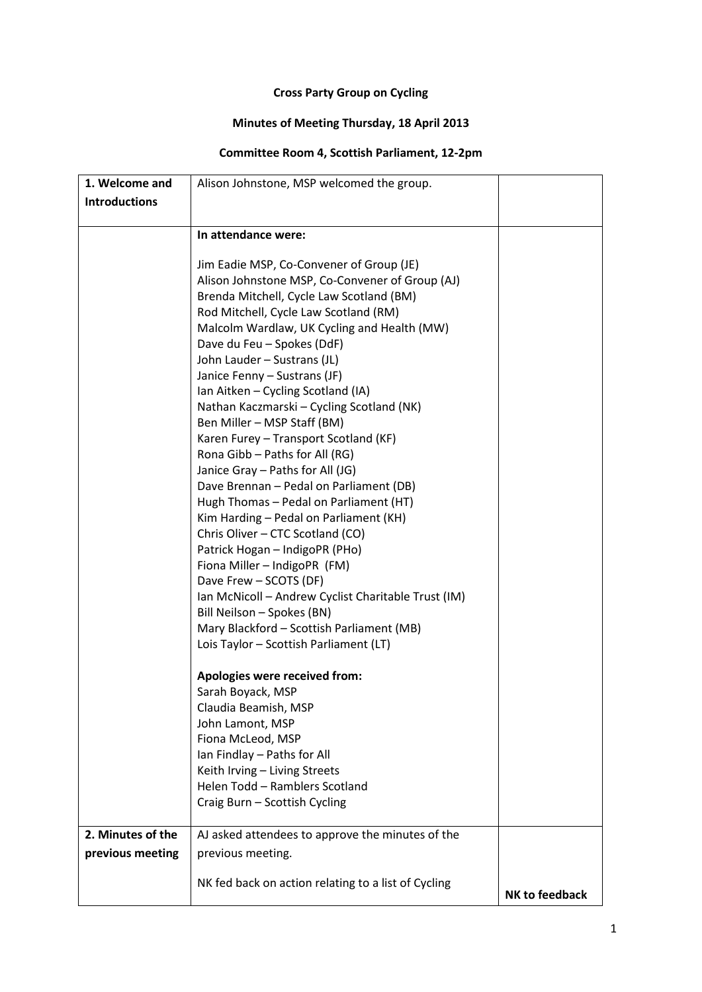## **Cross Party Group on Cycling**

## **Minutes of Meeting Thursday, 18 April 2013**

## **Committee Room 4, Scottish Parliament, 12-2pm**

| 1. Welcome and       | Alison Johnstone, MSP welcomed the group.                                                   |                       |
|----------------------|---------------------------------------------------------------------------------------------|-----------------------|
| <b>Introductions</b> |                                                                                             |                       |
|                      |                                                                                             |                       |
|                      | In attendance were:                                                                         |                       |
|                      |                                                                                             |                       |
|                      | Jim Eadie MSP, Co-Convener of Group (JE)                                                    |                       |
|                      | Alison Johnstone MSP, Co-Convener of Group (AJ)<br>Brenda Mitchell, Cycle Law Scotland (BM) |                       |
|                      | Rod Mitchell, Cycle Law Scotland (RM)                                                       |                       |
|                      | Malcolm Wardlaw, UK Cycling and Health (MW)                                                 |                       |
|                      | Dave du Feu - Spokes (DdF)                                                                  |                       |
|                      | John Lauder - Sustrans (JL)                                                                 |                       |
|                      | Janice Fenny - Sustrans (JF)                                                                |                       |
|                      | Ian Aitken - Cycling Scotland (IA)                                                          |                       |
|                      | Nathan Kaczmarski – Cycling Scotland (NK)                                                   |                       |
|                      | Ben Miller - MSP Staff (BM)                                                                 |                       |
|                      | Karen Furey - Transport Scotland (KF)                                                       |                       |
|                      | Rona Gibb - Paths for All (RG)                                                              |                       |
|                      | Janice Gray - Paths for All (JG)                                                            |                       |
|                      | Dave Brennan - Pedal on Parliament (DB)                                                     |                       |
|                      | Hugh Thomas - Pedal on Parliament (HT)                                                      |                       |
|                      | Kim Harding - Pedal on Parliament (KH)                                                      |                       |
|                      | Chris Oliver - CTC Scotland (CO)                                                            |                       |
|                      | Patrick Hogan - IndigoPR (PHo)                                                              |                       |
|                      | Fiona Miller - IndigoPR (FM)                                                                |                       |
|                      | Dave Frew - SCOTS (DF)                                                                      |                       |
|                      | Ian McNicoll - Andrew Cyclist Charitable Trust (IM)                                         |                       |
|                      | Bill Neilson - Spokes (BN)                                                                  |                       |
|                      | Mary Blackford - Scottish Parliament (MB)                                                   |                       |
|                      | Lois Taylor - Scottish Parliament (LT)                                                      |                       |
|                      | Apologies were received from:                                                               |                       |
|                      | Sarah Boyack, MSP                                                                           |                       |
|                      | Claudia Beamish, MSP                                                                        |                       |
|                      | John Lamont, MSP                                                                            |                       |
|                      | Fiona McLeod, MSP                                                                           |                       |
|                      | Ian Findlay - Paths for All                                                                 |                       |
|                      | Keith Irving - Living Streets                                                               |                       |
|                      | Helen Todd - Ramblers Scotland                                                              |                       |
|                      | Craig Burn - Scottish Cycling                                                               |                       |
| 2. Minutes of the    | AJ asked attendees to approve the minutes of the                                            |                       |
| previous meeting     | previous meeting.                                                                           |                       |
|                      |                                                                                             |                       |
|                      | NK fed back on action relating to a list of Cycling                                         | <b>NK to feedback</b> |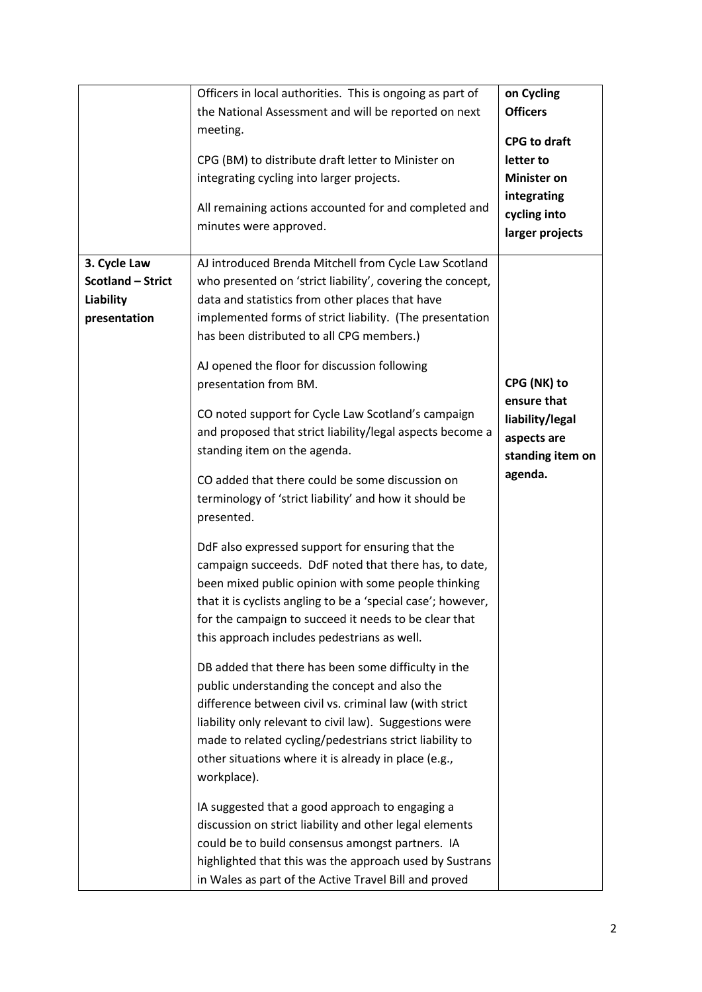|                                                                              | Officers in local authorities. This is ongoing as part of<br>the National Assessment and will be reported on next<br>meeting.<br>CPG (BM) to distribute draft letter to Minister on<br>integrating cycling into larger projects.<br>All remaining actions accounted for and completed and<br>minutes were approved.                    | on Cycling<br><b>Officers</b><br><b>CPG to draft</b><br>letter to<br><b>Minister on</b><br>integrating<br>cycling into<br>larger projects |
|------------------------------------------------------------------------------|----------------------------------------------------------------------------------------------------------------------------------------------------------------------------------------------------------------------------------------------------------------------------------------------------------------------------------------|-------------------------------------------------------------------------------------------------------------------------------------------|
| 3. Cycle Law<br><b>Scotland - Strict</b><br><b>Liability</b><br>presentation | AJ introduced Brenda Mitchell from Cycle Law Scotland<br>who presented on 'strict liability', covering the concept,<br>data and statistics from other places that have<br>implemented forms of strict liability. (The presentation<br>has been distributed to all CPG members.)<br>AJ opened the floor for discussion following        |                                                                                                                                           |
|                                                                              | presentation from BM.<br>CO noted support for Cycle Law Scotland's campaign<br>and proposed that strict liability/legal aspects become a<br>standing item on the agenda.                                                                                                                                                               | CPG (NK) to<br>ensure that<br>liability/legal<br>aspects are<br>standing item on                                                          |
|                                                                              | CO added that there could be some discussion on<br>terminology of 'strict liability' and how it should be<br>presented.<br>DdF also expressed support for ensuring that the<br>campaign succeeds. DdF noted that there has, to date,<br>been mixed public opinion with some people thinking                                            | agenda.                                                                                                                                   |
|                                                                              | that it is cyclists angling to be a 'special case'; however,<br>for the campaign to succeed it needs to be clear that<br>this approach includes pedestrians as well.<br>DB added that there has been some difficulty in the<br>public understanding the concept and also the<br>difference between civil vs. criminal law (with strict |                                                                                                                                           |
|                                                                              | liability only relevant to civil law). Suggestions were<br>made to related cycling/pedestrians strict liability to<br>other situations where it is already in place (e.g.,<br>workplace).<br>IA suggested that a good approach to engaging a<br>discussion on strict liability and other legal elements                                |                                                                                                                                           |
|                                                                              | could be to build consensus amongst partners. IA<br>highlighted that this was the approach used by Sustrans<br>in Wales as part of the Active Travel Bill and proved                                                                                                                                                                   |                                                                                                                                           |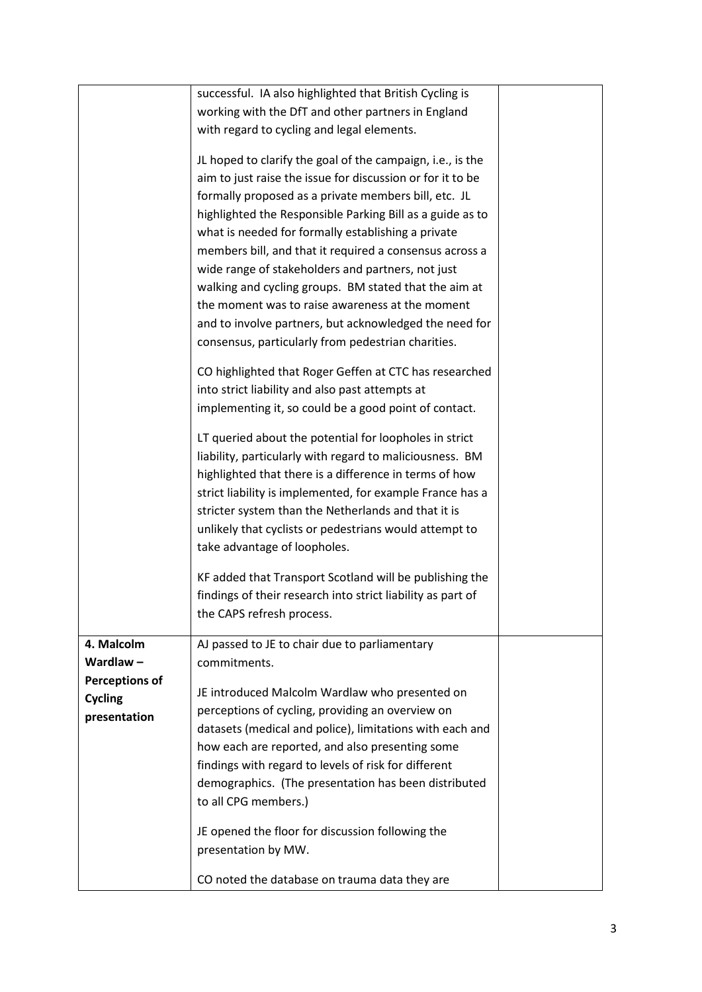|                       | successful. IA also highlighted that British Cycling is     |  |
|-----------------------|-------------------------------------------------------------|--|
|                       | working with the DfT and other partners in England          |  |
|                       | with regard to cycling and legal elements.                  |  |
|                       |                                                             |  |
|                       | JL hoped to clarify the goal of the campaign, i.e., is the  |  |
|                       | aim to just raise the issue for discussion or for it to be  |  |
|                       | formally proposed as a private members bill, etc. JL        |  |
|                       | highlighted the Responsible Parking Bill as a guide as to   |  |
|                       | what is needed for formally establishing a private          |  |
|                       | members bill, and that it required a consensus across a     |  |
|                       | wide range of stakeholders and partners, not just           |  |
|                       | walking and cycling groups. BM stated that the aim at       |  |
|                       | the moment was to raise awareness at the moment             |  |
|                       | and to involve partners, but acknowledged the need for      |  |
|                       | consensus, particularly from pedestrian charities.          |  |
|                       | CO highlighted that Roger Geffen at CTC has researched      |  |
|                       | into strict liability and also past attempts at             |  |
|                       | implementing it, so could be a good point of contact.       |  |
|                       |                                                             |  |
|                       | LT queried about the potential for loopholes in strict      |  |
|                       | liability, particularly with regard to maliciousness. BM    |  |
|                       | highlighted that there is a difference in terms of how      |  |
|                       | strict liability is implemented, for example France has a   |  |
|                       | stricter system than the Netherlands and that it is         |  |
|                       | unlikely that cyclists or pedestrians would attempt to      |  |
|                       | take advantage of loopholes.                                |  |
|                       | KF added that Transport Scotland will be publishing the     |  |
|                       | findings of their research into strict liability as part of |  |
|                       | the CAPS refresh process.                                   |  |
|                       |                                                             |  |
| 4. Malcolm            | AJ passed to JE to chair due to parliamentary               |  |
| Wardlaw $-$           | commitments.                                                |  |
| <b>Perceptions of</b> | JE introduced Malcolm Wardlaw who presented on              |  |
| <b>Cycling</b>        | perceptions of cycling, providing an overview on            |  |
| presentation          | datasets (medical and police), limitations with each and    |  |
|                       | how each are reported, and also presenting some             |  |
|                       | findings with regard to levels of risk for different        |  |
|                       | demographics. (The presentation has been distributed        |  |
|                       | to all CPG members.)                                        |  |
|                       |                                                             |  |
|                       | JE opened the floor for discussion following the            |  |
|                       | presentation by MW.                                         |  |
|                       | CO noted the database on trauma data they are               |  |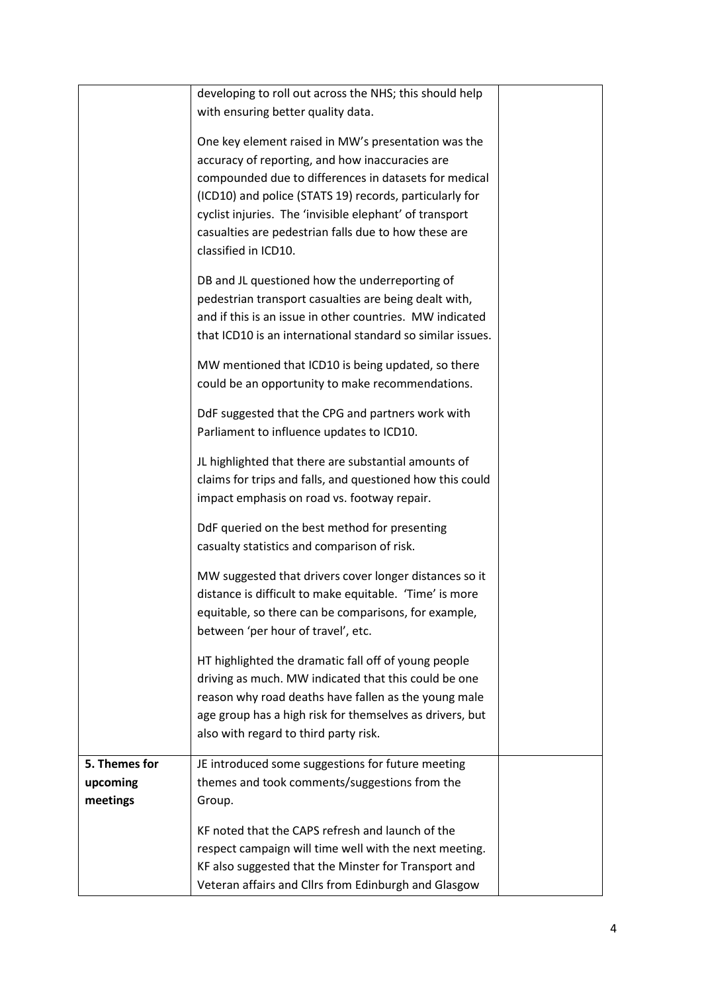|               | developing to roll out across the NHS; this should help    |  |
|---------------|------------------------------------------------------------|--|
|               | with ensuring better quality data.                         |  |
|               |                                                            |  |
|               | One key element raised in MW's presentation was the        |  |
|               | accuracy of reporting, and how inaccuracies are            |  |
|               | compounded due to differences in datasets for medical      |  |
|               | (ICD10) and police (STATS 19) records, particularly for    |  |
|               |                                                            |  |
|               | cyclist injuries. The 'invisible elephant' of transport    |  |
|               | casualties are pedestrian falls due to how these are       |  |
|               | classified in ICD10.                                       |  |
|               | DB and JL questioned how the underreporting of             |  |
|               |                                                            |  |
|               | pedestrian transport casualties are being dealt with,      |  |
|               | and if this is an issue in other countries. MW indicated   |  |
|               | that ICD10 is an international standard so similar issues. |  |
|               | MW mentioned that ICD10 is being updated, so there         |  |
|               |                                                            |  |
|               | could be an opportunity to make recommendations.           |  |
|               | DdF suggested that the CPG and partners work with          |  |
|               | Parliament to influence updates to ICD10.                  |  |
|               |                                                            |  |
|               | JL highlighted that there are substantial amounts of       |  |
|               | claims for trips and falls, and questioned how this could  |  |
|               | impact emphasis on road vs. footway repair.                |  |
|               |                                                            |  |
|               | DdF queried on the best method for presenting              |  |
|               | casualty statistics and comparison of risk.                |  |
|               |                                                            |  |
|               | MW suggested that drivers cover longer distances so it     |  |
|               | distance is difficult to make equitable. 'Time' is more    |  |
|               | equitable, so there can be comparisons, for example,       |  |
|               | between 'per hour of travel', etc.                         |  |
|               |                                                            |  |
|               | HT highlighted the dramatic fall off of young people       |  |
|               | driving as much. MW indicated that this could be one       |  |
|               | reason why road deaths have fallen as the young male       |  |
|               | age group has a high risk for themselves as drivers, but   |  |
|               | also with regard to third party risk.                      |  |
|               |                                                            |  |
| 5. Themes for | JE introduced some suggestions for future meeting          |  |
| upcoming      | themes and took comments/suggestions from the              |  |
| meetings      | Group.                                                     |  |
|               | KF noted that the CAPS refresh and launch of the           |  |
|               | respect campaign will time well with the next meeting.     |  |
|               |                                                            |  |
|               | KF also suggested that the Minster for Transport and       |  |
|               | Veteran affairs and Cllrs from Edinburgh and Glasgow       |  |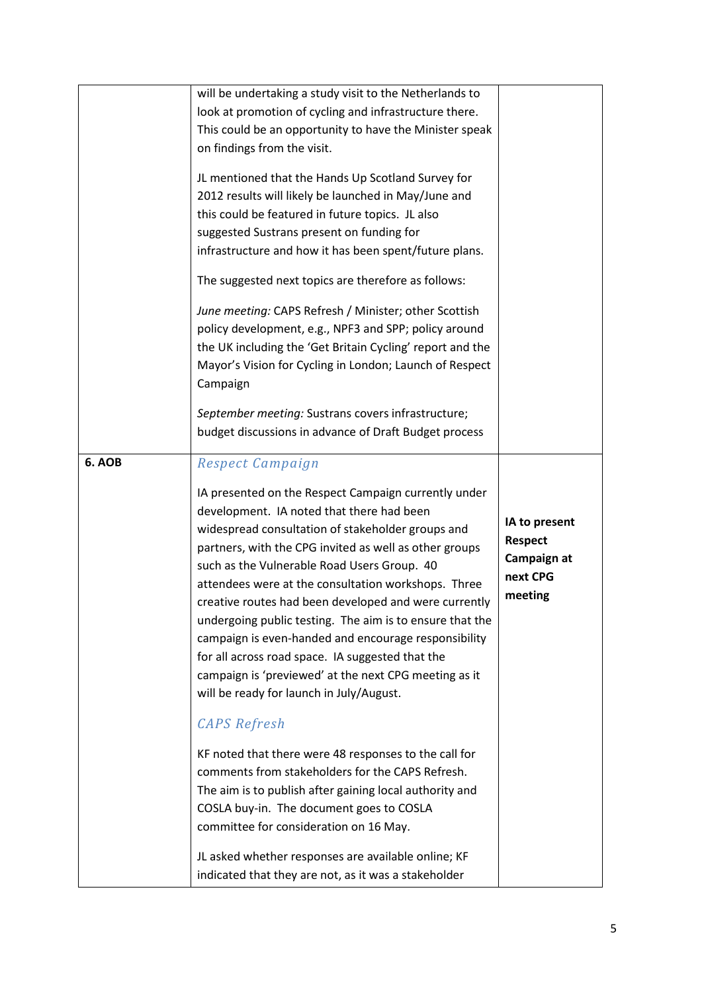|        | will be undertaking a study visit to the Netherlands to<br>look at promotion of cycling and infrastructure there.<br>This could be an opportunity to have the Minister speak<br>on findings from the visit.<br>JL mentioned that the Hands Up Scotland Survey for<br>2012 results will likely be launched in May/June and<br>this could be featured in future topics. JL also<br>suggested Sustrans present on funding for<br>infrastructure and how it has been spent/future plans.<br>The suggested next topics are therefore as follows:                                                                                                                                      |                                                                       |
|--------|----------------------------------------------------------------------------------------------------------------------------------------------------------------------------------------------------------------------------------------------------------------------------------------------------------------------------------------------------------------------------------------------------------------------------------------------------------------------------------------------------------------------------------------------------------------------------------------------------------------------------------------------------------------------------------|-----------------------------------------------------------------------|
|        | June meeting: CAPS Refresh / Minister; other Scottish<br>policy development, e.g., NPF3 and SPP; policy around<br>the UK including the 'Get Britain Cycling' report and the<br>Mayor's Vision for Cycling in London; Launch of Respect<br>Campaign<br>September meeting: Sustrans covers infrastructure;<br>budget discussions in advance of Draft Budget process                                                                                                                                                                                                                                                                                                                |                                                                       |
| 6. AOB | Respect Campaign<br>IA presented on the Respect Campaign currently under<br>development. IA noted that there had been<br>widespread consultation of stakeholder groups and<br>partners, with the CPG invited as well as other groups<br>such as the Vulnerable Road Users Group. 40<br>attendees were at the consultation workshops. Three<br>creative routes had been developed and were currently<br>undergoing public testing. The aim is to ensure that the<br>campaign is even-handed and encourage responsibility<br>for all across road space. IA suggested that the<br>campaign is 'previewed' at the next CPG meeting as it<br>will be ready for launch in July/August. | IA to present<br><b>Respect</b><br>Campaign at<br>next CPG<br>meeting |
|        | <b>CAPS</b> Refresh<br>KF noted that there were 48 responses to the call for<br>comments from stakeholders for the CAPS Refresh.<br>The aim is to publish after gaining local authority and<br>COSLA buy-in. The document goes to COSLA<br>committee for consideration on 16 May.<br>JL asked whether responses are available online; KF<br>indicated that they are not, as it was a stakeholder                                                                                                                                                                                                                                                                                 |                                                                       |